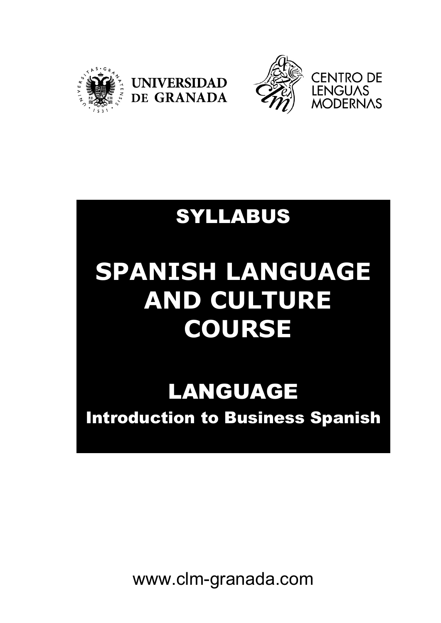





## SYLLABUS

# **SPANISH LANGUAGE AND CULTURE COURSE**

# LANGUAGE

Introduction to Business Spanish

www.clm-granada.com